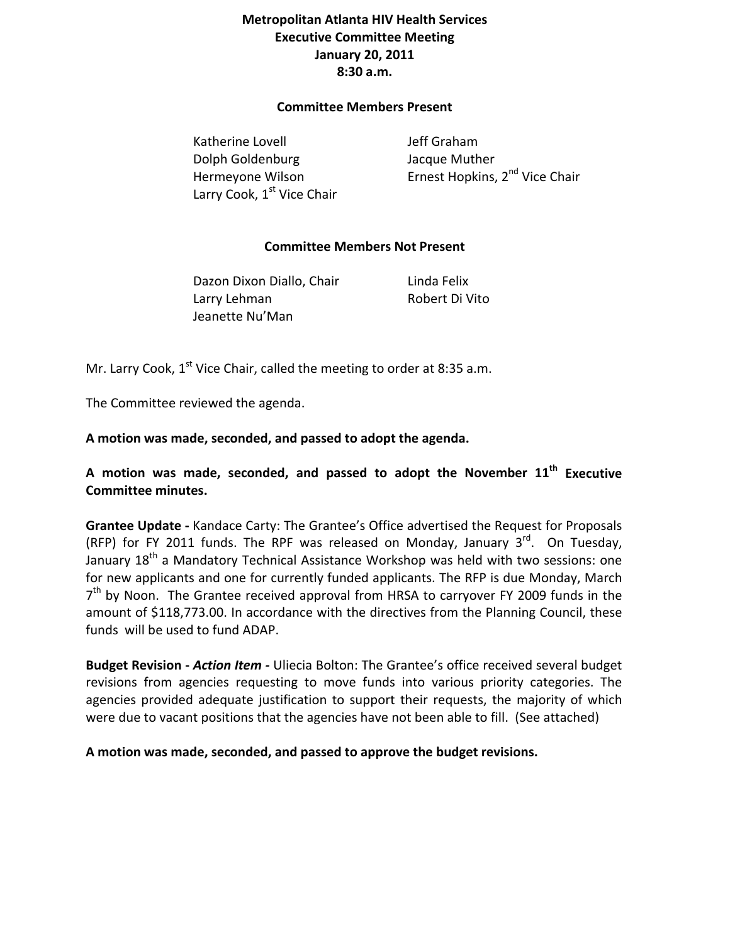## **Metropolitan Atlanta HIV Health Services Executive Committee Meeting January 20, 2011 8:30 a.m.**

## **Committee Members Present**

Katherine Lovell **Southerne** Lovell **See Accord Set Set Accord Set Accord Set Accord Set Accord Set Accord Set Accord Set Accord Set Accord Set Accord Set Accord Set Accord Set Accord Set Accord Set Accord Set Accord Set A**  Dolph Goldenburg Jacque Muther Larry Cook, 1<sup>st</sup> Vice Chair

Hermeyone Wilson **Ernest Hopkins, 2<sup>nd</sup> Vice Chair** 

## **Committee Members Not Present**

Dazon Dixon Diallo, Chair **Linda Felix**  Larry Lehman Robert Di Vito Jeanette Nu'Man

Mr. Larry Cook,  $1<sup>st</sup>$  Vice Chair, called the meeting to order at 8:35 a.m.

The Committee reviewed the agenda.

**A motion was made, seconded, and passed to adopt the agenda.** 

**A motion was made, seconded, and passed to adopt the November 11th Executive Committee minutes.** 

**Grantee Update ‐** Kandace Carty: The Grantee's Office advertised the Request for Proposals (RFP) for FY 2011 funds. The RPF was released on Monday, January  $3^{rd}$ . On Tuesday, January 18<sup>th</sup> a Mandatory Technical Assistance Workshop was held with two sessions: one for new applicants and one for currently funded applicants. The RFP is due Monday, March  $7<sup>th</sup>$  by Noon. The Grantee received approval from HRSA to carryover FY 2009 funds in the amount of \$118,773.00. In accordance with the directives from the Planning Council, these funds will be used to fund ADAP.

**Budget Revision ‐** *Action Item ‐* Uliecia Bolton: The Grantee's office received several budget revisions from agencies requesting to move funds into various priority categories. The agencies provided adequate justification to support their requests, the majority of which were due to vacant positions that the agencies have not been able to fill. (See attached)

**A motion was made, seconded, and passed to approve the budget revisions.**